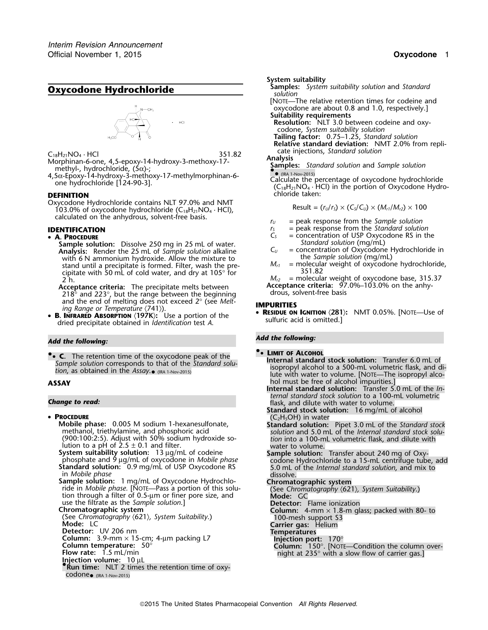## **Oxycodone Hydrochloride Oxycodone Hydrochloride** *Samples solution*



Morphinan-6-one, 4,5-epoxy-14-hydroxy-3-methoxy-17-<br>methyl-, hydrochloride, (5α)-;

4,5α-Epoxy-14-hydroxy-3-methoxy-17-methylmorphinan-6-<br>one hydrochloride [124-90-3].<br>C<sub>la</sub>H<sub>21</sub>NO<sub>4</sub> · HCl) in the portion of Oxycodone Hydro-<br>(C<sub>18</sub>H<sub>21</sub>NO<sub>4</sub> · HCl) in the portion of Oxycodone Hydro-

Oxycodone Hydrochloride contains NLT 97.0% and NMT 103.0% of oxycodone hydrochloride  $(C_{18}H_{21}NO_4 \cdot HC)$ , calculated on the anhydrous, solvent-free basis.  $r_U =$  peak response from the *Sample solution* 

### • A. PROCEDURE

**Sample solution:** Dissolve 250 mg in 25 mL of water.<br> **Analysis:** Render the 25 mL of *Sample solution* alkaline  $C_U$  = concentration of Oxycodone Hydrochloride in **Analysis:** Render the 25 mL of *Sample solution* alkaline *C<sub>U</sub>* = concentration of Oxycodone F<br>with 6 N ammonium hydroxide. Allow the mixture to the *Sample solution* (mg/mL) with 6 N ammonium hydroxide. Allow the mixture to the *Sample solution* (mg/mL)<br>stand until a precipitate is formed Filter wash the pre-<br> $M_{cl}$  = molecular weight of oxycodone hydrochloride, stand until a precipitate is formed. Filter, wash the pre-<br>cipitate with 50 ml of cold water, and dry at 105° for and the standard many standard method. cipitate with 50 mL of cold water, and dry at  $105^{\circ}$  for 2 h.

Acceptance criteria: The precipitate melts between **Acceptance criteria:** 97.<br>218° and 223°, but the range between the beginning drous, solvent-free basis 218 $^{\circ}$  and 223 $^{\circ}$ , but the range between the beginning<br>and the end of melting does not exceed  $2^{\circ}$  (see Melt-

•• **C** The retention time of the oxycodone neak of the **CLIMIT OF ALCOHOL C.** The retention time of the oxycodone peak of the<br>Sample solution corresponds to that of the *Standard solu*-<br>tion as obtained in the *Assay* consumers and the *Standard solu*-<br>isopropyl alcohol to a 500-mL volumetric tion, as obtained in the Assay. IRA 1-Nov-2015)

### • PROCEDURE

**PPROCEDE (Phase:** 0.005 M sodium 1-hexanesulfonate, **Standard solution:** Pipet 3.0 mL of the *Standard stock* methanol, triethylamine, and phosphoric acid methanol, triethylamine, and phosphoric acid *solution* and 5.0 mL of the *Internal standard stock solu-* (900:100:2:5). Adjust with 50% sodium hydroxide so- *tion* into a 100-mL volumetric flask, and dilute with lution to a pH of 2.5 ± 0.1 and filter. water to volume. **System suitability solution:** 13 µg/mL of codeine **Sample solution:** Transfer about 240 mg of Oxyphosphate and 9 µg/mL of oxycodone in *Mobile phase* codone Hydrochloride to a 15-mL centrifuge tube, add<br>**Standard solution:** 0.9 mg/mL of USP Oxycodone RS 5.0 mL of the *Internal standard solution*, and mix to in *Mobile* Sample solution: 1 mg/mL of Oxycodone Hydrochlo-<br>
ride in Mobile phase. [NOTE—Pass a portion of this solu-<br>
tion through a filter of 0.5-µm or finer pore size, and<br>
use the filtrate as the *Sample solution*.]<br>
The same oni use the filtrate as the *Sample solution*.]<br>**Chromatographic system Chromatographic system**<br>
(See *Chromatography*  $\langle 621 \rangle$ , *System Suitability*.) **Column:** 4-mm × 1.8-m glass; packed with 80- to 100-mesh support S3 **Mode:** LC **Carrier gas:** Helium **Detector:** UV 206 nm **Column:** 3.9-mm × 15-cm; 4-µm packing L7 **Injection port:** 170°<br> **Column temperature:** 50° **Column:** 150°. [NOTE—Condition the column over-<br> **Flow rate:** 1.5 mL/min **and the column over-** night at 235° with a slow flow of **Flow rate:** 1.5 mL/min **night at 235° with a slow flow of carrier gas.] <b>Injection volume:** 10 µL **• .Run time:** NLT 2 times the retention time of oxycodone• (IRA 1-Nov-2015)

- **System suitability**<br>**Samples:** System suitability solution and Standard
- [NOTE—The relative retention times for codeine and oxycodone are about 0.8 and 1.0, respectively.] **Suitability requirements**

**Resolution:** NLT 3.0 between codeine and oxycodone, *System suitability solution*

**Tailing factor:** 0.75–1.25, *Standard solution*

**Relative standard deviation:** NMT 2.0% from replicate injections, *Standard solution* <sup>C</sup>18H21NO<sup>4</sup> · HCl 351.82

morphinal-o-one, *A*<sub>*J*</sub>-epoxy-14-hydroxy-3-metrioxy-17-<br>methyl-, hydrochloride, (5α)-;<br>4,5α-Epoxy-14-hydroxy-3-methoxy-17-methylmorphinan-6-<br>6 Calculate the percentage of oxygodone bydrochl

**DEFINITION Chloride taken:** 

$$
Result = (rU/rS) \times (CS/CU) \times (Mr1/Mr2) \times 100
$$

- 
- **IDENTIFICATION** *r<sub>S</sub>* = peak response from the *Standard solution*<br>
 **A. PROCEDURE 1999 1999 1999 1999 1999 1999 1999 1999 1999 1999 1999 1999 1999 1999 1999 1999 1999 1999 1999**
	- $=$  concentration of USP Oxycodone RS in the
	-
	-

 $M_{r2}$  = molecular weight of oxycodone base, 315.37<br>**Acceptance criteria:** 97.0%–103.0% on the anhy-

and the end of melting does not exceed 2° (see *Melt*<br>ing *Range or Temperature*  $(741)$ ).<br>**B. INFRARED ABSORPTION**  $\langle$  197K): Use a portion of the<br>dried precipitate obtained in *Identification* test *A*.<br>dried precipita

## *Add the following: Add the following:*

lute with water to volume. [NOTE—The isopropyl alco-**ASSAY ASSAY ASSAY hold must be free of alcohol impurities.** 

**Internal standard solution:** Transfer 5.0 mL of the *Internal standard stock solution* to a 100-mL volumetric **Change to read: Change to read: flask**, and dilute with water to volume.

**Standard stock solution:** 16 mg/mL of alcohol (C<sub>2</sub>H<sub>5</sub>OH) in water

- 
-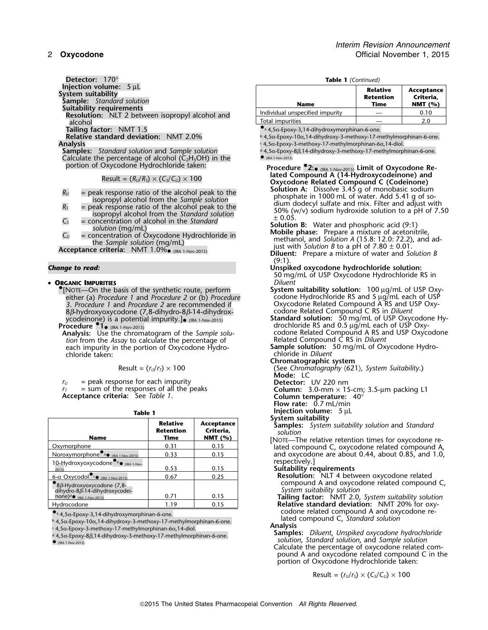**Detector:** 170° **Table 1** *(Continued)*<br> **Injection volume:** 5 µL<br> **Index 10 Polonic Properties** System suitability<br>
Sample: Standard solution<br>
Suitability requirements<br>
Resolution: NLT 2 between isopropyl alcohol and<br>
alcohol **Tailing factor:** NMT 1.5 **. And Tailing factor:** NMT 1.5 **. 4,5** $\alpha$ -Epoxy-3,14-dihydroxymorphinan-6-one.

Calculate the percentage of alcohol ( $C_2H_5OH$ ) in the portion of Oxycodone Hydrochloride taken:

- 
- 
- 
- 

•**ORGANIC IMPURITIES** 

•.[NOTE—On the basis of the synthetic route, perform **System suitability solution:**<sup>100</sup> <sup>µ</sup>g/mL of USP Oxyeither (a) *Procedure 1* and *Procedure 2* or (b) *Procedure* codone Hydrochloride RS and 5 µg/mL each of USP<br>3. *Procedure 1* and *Procedure 2* are recommended if coxycodone Related Compound A RS and USP Oxy-3. Procedure 1 and Procedure 2 are recommended if 8β-hydroxyoxycodone (7,8-dihydro-8β-14-dihydrox-

*tion* from the *Assay* to calculate the percentage of each impurity in the portion of Oxycodone Hydro-<br> **Sample solution:** 50 mg/mL of Oxycodone Hydro-<br>
chloride in *Diluent* 

$$
Result = (r_U/r_T) \times 100
$$

 $r_U$  = peak response for each impurity<br> $r_T$  = sum of the responses of all the peaks

 $r_I$  = peak response for each impurity<br>  $r_T$  = sum of the responses of all the peaks **Column:** 3.0-mm × 15-cm; 3.5-µm packing L1 **Acceptance criteria:** See *Table 1*. **Column temperature:** 40°

|  | ٠ |  |
|--|---|--|

| Table 1                                                                                                    |                                             | Injection volume: $5 \mu L$          |                                                                                                                                                   |
|------------------------------------------------------------------------------------------------------------|---------------------------------------------|--------------------------------------|---------------------------------------------------------------------------------------------------------------------------------------------------|
| <b>Name</b>                                                                                                | <b>Relative</b><br><b>Retention</b><br>Time | Acceptance<br>Criteria,<br>NMT $(%)$ | System suitability<br><b>Samples:</b> System suitability solution and Standard<br>solution<br>[NOTE-The relative retention times for oxycodone re |
| Oxymorphone                                                                                                | 0.31                                        | 0.15                                 | lated compound C, oxycodone related compound.                                                                                                     |
| Noroxymorphone $\bullet$ a $\bullet$ (IRA 1-Nov-2015)                                                      | 0.33                                        | 0.15                                 | and oxycodone are about 0.44, about 0.85, and 1.                                                                                                  |
| 10-Hydroxyoxycodone <sup>Ob</sup> (IRA 1-Nov-<br>2015)                                                     | 0.53                                        | 0.15                                 | respectively.<br>Suitability requirements                                                                                                         |
| 6- $\alpha$ Oxycodol $\bullet$ (IRA 1-Nov-2015)                                                            | 0.67                                        | 0.25                                 | <b>Resolution:</b> NLT 4 between oxycodone related                                                                                                |
| $\bullet$ 8 $\beta$ -Hydroxyoxycodone (7,8-<br>dihydro-8ß-14-dihydroxycodei-<br>$none)^d$ (IRA 1-Nov-2015) | 0.71                                        | 0.15                                 | compound A and oxycodone related compound<br>System suitability solution                                                                          |
| Hydrocodone                                                                                                | 1.19                                        | 0.15                                 | Tailing factor: NMT 2.0, System suitability solutio<br>Relative standard deviation: NMT 20% for oxy-                                              |

 $\bullet$ <sub>a</sub> 4,5 $\alpha$ -Epoxy-3,14-dihydroxymorphinan-6-one.

b ated compound C, *Standard solution* ... and a stated compound C, *Standard solution*<br>A 5α-Epoxy-10α,14-dihydroxy-3-methoxy-17-methylmorphinan-6-one.

<sup>c</sup> **Analysis** . 4,5α-Epoxy-3-methoxy-17-methylmorphinan-6<sup>α</sup>,14-diol.

 $\bullet$  (IRA 1-Nov-2015)

| iection volume: 5 uL<br>tem suitability<br>mple: Standard solution       | <b>Name</b>                     | <b>Relative</b><br>Retention<br>Time | Acceptance<br>Criteria.<br>NMT $(%)$ |
|--------------------------------------------------------------------------|---------------------------------|--------------------------------------|--------------------------------------|
| itability requirements<br>esolution: NLT 2 between isopropyl alcohol and | Individual unspecified impurity |                                      | 0.10                                 |
| alcohol                                                                  | Total impurities                |                                      | 2.0                                  |

<sup>b</sup> **Relative standard deviation:** NMT 2.0% . 4,5α-Epoxy-10<sup>α</sup>,14-dihydroxy-3-methoxy-17-methylmorphinan-6-one. c 4,5α-Epoxy-3-methoxy-17-methylmorphinan-6α, 14-diol.<br>**Samples:** Standard solution and Sample solution **and the action** d 4,5α-Epoxy-8β,14-dihydroxy-3-methoxy-17-methylmorp <sup>d</sup> 4,5α-Epoxy-8β,14-dihydroxy-3-methoxy-17-methylmorphinan-6-one.

 (IRA 1-Nov-2015) **Limit of Oxycodone Related Compound A (14-Hydroxycodeinone) and** Result = (*RU*/*RS*) × (*CS*/*CU*) ×<sup>100</sup> **Oxycodone Related Compound C (Codeinone)** *R<sub>u</sub>* = peak response ratio of the alcohol peak to the<br>
isopropyl alcohol from the *Sample solution*<br>
isopropyl alcohol from the *Sample solution*<br>
isopropyl alcohol from the *Sample solution*<br>
C<sub>S</sub><br>
concentration of al

- (IRA 1-Nov-2015) **Acceptance criteria:** NMT 1.0% (IRA 1-Nov-2015) **Diluent:** Prepare a mixture of water and *Solution B*<br>**Diluent:** Prepare a mixture of water and *Solution B* 
	- $(9.1)$

*Change to read:* **Unspiked oxycodone hydrochloride solution:** 50 mg/mL of USP Oxycodone Hydrochloride RS in<br>Diluent

codone Related Compound C RS in Diluent<br>**Standard solution:** 50 mg/mL of USP Oxycodone Hy-<br>drochloride RS and 0.5 µg/mL each of USP Oxy-**Procedure <sup>•</sup>1** (IRA 1-Nov-2015) **Procedure** *e* 1<sub>8</sub> (IRA 1-Nov-2015) *Procedure e* 1 (IRA 1-Nov-2015) *e* discribed as and 0.5 µg/mL each of USP Oxy- *each of USP Oxy- discribed RS and 0.5 µg/mL each of* **Analysis:** Use the codone Related Compound A RS and USP Oxycodone Related Compound C RS in *Diluent* 

chloride in *Diluent* 

**Chromatographic system**

Result = (*<sup>r</sup>U*/*<sup>r</sup>T*) × 100 (See *Chromatography* 〈621〉*, System Suitability*.) **Mode:** LC

**Flow rate:** 0.7 mL/min

- **Resolution:** NLT 4 between oxycodone related compound A and oxycodone related compound C, System suitability solution
- Tailing factor: NMT 2.0, *System suitability solution* • 4 So-Epoxy-3 14-dibydroxymorphinan-6-one example and oxycodone related compound A and oxycodone re-

<sup>d</sup> **Samples:** *Diluent*, *Unspiked oxycodone hydrochloride* . 4,5α-Epoxy-8β,14-dihydroxy-3-methoxy-17-methylmorphinan-6-one. *solution*, *Standard solution*, and *Sample solution* •Calculate the percentage of oxycodone related compound A and oxycodone related compound C in the portion of Oxycodone Hydrochloride taken: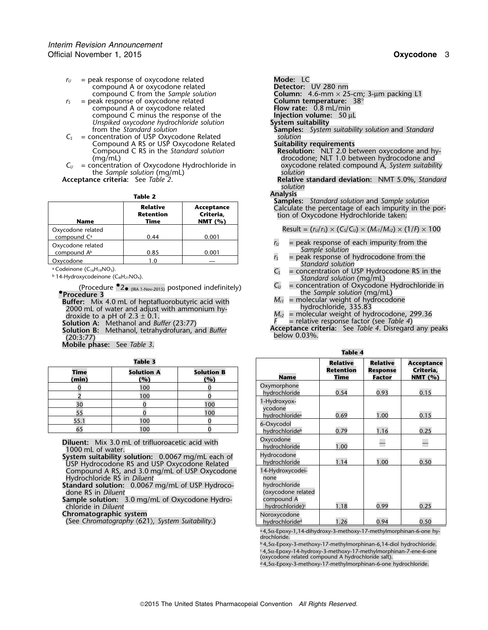- *r*<sup>U</sup> = peak response of oxycodone related **Mode:** LC compound A or oxycodone related **Mode:** LC compound A or oxycodone related<br>compound C from the Sample solution
- *r*<sub>S</sub> = peak response of oxycodone related **Column temperature:**<br>
compound A or oxycodone related **Flow rate:** 0.8 mL/min compound A or oxycodone related **Flow rate:** 0.8 mL/min compound C minus the response of the **Injection volume**<br>
Unspiked oxycodone hydrochloride solution **System suitability** *Unspiked oxycodone hydrochloride solution* from the *Standard solution*
- *C<sup>S</sup>* = concentration of USP Oxycodone Related *solution* Compound A RS or USP Oxycodone Related<br>Compound C RS in the *Standard solution*
- the *Sample solution* (mg/mL)<br>**Acceptance criteria:** See *Table 2*.

| <b>Name</b>                                  | <b>Relative</b><br><b>Retention</b><br><b>Time</b> | Acceptance<br>Criteria,<br>NMT $(%)$ |
|----------------------------------------------|----------------------------------------------------|--------------------------------------|
| Oxycodone related<br>compound C <sup>a</sup> | 0.44                                               | 0.001                                |
| Oxycodone related<br>compound A <sup>b</sup> | 0.85                                               | 0.001                                |
| Oxvcodone                                    | 1.0                                                |                                      |

a Codeinone (C<sub>18</sub>H<sub>19</sub>NO<sub>3</sub>).

(Procedure •2<sub>• (IRA 1-Nov-2015)</sub> postponed indefinitely)  $C_U =$  concentration of Oxycodone Hydrochloride in  $\frac{1}{2}$ **.Procedure 3**

**Buffer:** Mix 4.0 mL of heptafluorobutyric acid with  $M_{r1}$  = molecular weight of hydrochloride, 335.83<br>2000 mL of water and adjust with ammonium hy-<br>2000 droxide to a pH of 2.3 ± 0.1. droxide to a pH of 2.3 ± 0.1.<br> **droxide to a pH** of 2.3 ± 0.1.<br> **Solution A:** Methanol and *Buffer* (23:77)  $A_{rz} =$  relative response factor (see Table 4)

**Mobile phase:** See *Table 3*.

| Time<br>(min) | <b>Solution A</b><br>(%) | <b>Solution B</b><br>(%) | Name                     |
|---------------|--------------------------|--------------------------|--------------------------|
|               | 100                      |                          | Oxymorphone              |
|               | 100                      |                          | hydrochloride            |
| 30            |                          | 100                      | 1-Hydroxyox-             |
|               |                          | 100                      | ycodone<br>hydrochloride |
| 55.1          | 100                      |                          | 6-Oxycodol               |
| 65            | 100                      |                          | hydrochloride            |

Column: 4.6-mm × 25-cm; 3-µm packing L1<br>Column temperature: 38°  $S$ amples: *System suitability solution* and *Standard solution* Compound C RS in the *Standard solution* **Resolution:** NLT 2.0 between oxycodone and hy- (mg/mL) drocodone; NLT 1.0 between hydrocodone and *C*<sub>*U*</sub> = concentration of Oxycodone Hydrochloride in  $\begin{array}{c} \text{oxycodone} \\ \text{subtion} \end{array}$  related compound  $\AA$ , *System suitability* **Acceptance criteria:** See *Table 2*. **Relative standard deviation:** NMT 5.0%, *Standard solution* **Analysis**<br> **Samples:** Standard solution and Sample solution<br>
Calculate the percentage of each impurity in the portion of Oxycodone Hydrochloride taken:

Result =  $(r_U/r_S) \times (C_S/C_U) \times (M_{r1}/M_{r2}) \times (1/F) \times 100$ 

- $r_U$  = peak response of each impurity from the *Sample solution*<br> $r_S$  = peak response of hydrocodone from the
- *r* = peak response of hydrocodone from the *Standard solution*
- <sup>a</sup> Codeinone (C<sub>18</sub>H<sub>19</sub>NO<sub>3</sub>).  $C_5$  = concentration of USP Hydrocodone RS in the basic of USP Hydrocodone RS in the basic of DSP and the basic of USP Hydrocodone RS in the basic of DSP and the basic of USP Hydrocodone *C<sub>u</sub>* 5tandard solution (mg/mL)<br> $C_U$  = concentration of Oxycodone Hydrochloride in
	-
	- the *Sample solution* (mg/mL)<br> $M_{r1}$  = molecular weight of hydrocodone
	-
	-
	- **Solution B:** Methanol, tetrahydrofuran, and Buffer<br>
	(20:3:77) (20:3:77)

**Table 4**

| Retention<br>Criteria,<br><b>Response</b><br><b>Solution B</b><br><b>Time</b><br><b>Solution A</b><br><b>Name</b><br><b>NMT</b> (%)<br><b>Factor</b><br>Time<br>(min)<br>(%)<br>(%)<br>Oxymorphone<br>100<br>0<br>0<br>0.54<br>0.93<br>0.15<br>hydrochloride<br>$\Omega$<br>$\overline{\mathcal{L}}$<br>100<br>1-Hydroxyox-<br>30<br>100<br>vcodone<br>55<br>100<br>0.69<br>1.00<br>hydrochloride <sup>a</sup><br>0.15<br>55.1<br>100<br>0<br>6-Oxycodol<br>$\overline{0}$<br>65<br>100<br>0.79<br>1.16<br>0.25<br>hydrochloride <sup>b</sup><br>Oxycodone<br>Diluent: Mix 3.0 mL of trifluoroacetic acid with<br>$\overline{\phantom{0}}$<br>1.00<br>hydrochloride<br>1000 mL of water.<br>Hydrocodone<br>System suitability solution: 0.0067 mg/mL each of<br>1.14<br>1.00<br>0.50<br>hydrochloride<br>USP Hydrocodone RS and USP Oxycodone Related<br>Compound A RS, and 3.0 mg/mL of USP Oxycodone<br>14-Hydroxycodei-<br>Hydrochloride RS in Diluent<br>none<br>Standard solution: 0.0067 mg/mL of USP Hydroco-<br>hydrochloride<br>(oxycodone related<br>done RS in Diluent<br>compound A<br>Sample solution: 3.0 mg/mL of Oxycodone Hydro-<br>1.18<br>0.99<br>hydrochloride) <sup>c</sup><br>0.25<br>chloride in Diluent<br>Chromatographic system<br>Noroxycodone<br>(See Chromatography $(621)$ , System Suitability.)<br>hydrochloride <sup>d</sup><br>1.26<br>0.94<br>0.50 | Table 3 |  | <b>Relative</b> | <b>Relative</b> | <b>Acceptance</b> |
|---------------------------------------------------------------------------------------------------------------------------------------------------------------------------------------------------------------------------------------------------------------------------------------------------------------------------------------------------------------------------------------------------------------------------------------------------------------------------------------------------------------------------------------------------------------------------------------------------------------------------------------------------------------------------------------------------------------------------------------------------------------------------------------------------------------------------------------------------------------------------------------------------------------------------------------------------------------------------------------------------------------------------------------------------------------------------------------------------------------------------------------------------------------------------------------------------------------------------------------------------------------------------------------------------------------------------------------------------------------------------------------|---------|--|-----------------|-----------------|-------------------|
|                                                                                                                                                                                                                                                                                                                                                                                                                                                                                                                                                                                                                                                                                                                                                                                                                                                                                                                                                                                                                                                                                                                                                                                                                                                                                                                                                                                       |         |  |                 |                 |                   |
|                                                                                                                                                                                                                                                                                                                                                                                                                                                                                                                                                                                                                                                                                                                                                                                                                                                                                                                                                                                                                                                                                                                                                                                                                                                                                                                                                                                       |         |  |                 |                 |                   |
|                                                                                                                                                                                                                                                                                                                                                                                                                                                                                                                                                                                                                                                                                                                                                                                                                                                                                                                                                                                                                                                                                                                                                                                                                                                                                                                                                                                       |         |  |                 |                 |                   |
|                                                                                                                                                                                                                                                                                                                                                                                                                                                                                                                                                                                                                                                                                                                                                                                                                                                                                                                                                                                                                                                                                                                                                                                                                                                                                                                                                                                       |         |  |                 |                 |                   |
|                                                                                                                                                                                                                                                                                                                                                                                                                                                                                                                                                                                                                                                                                                                                                                                                                                                                                                                                                                                                                                                                                                                                                                                                                                                                                                                                                                                       |         |  |                 |                 |                   |
|                                                                                                                                                                                                                                                                                                                                                                                                                                                                                                                                                                                                                                                                                                                                                                                                                                                                                                                                                                                                                                                                                                                                                                                                                                                                                                                                                                                       |         |  |                 |                 |                   |
|                                                                                                                                                                                                                                                                                                                                                                                                                                                                                                                                                                                                                                                                                                                                                                                                                                                                                                                                                                                                                                                                                                                                                                                                                                                                                                                                                                                       |         |  |                 |                 |                   |
|                                                                                                                                                                                                                                                                                                                                                                                                                                                                                                                                                                                                                                                                                                                                                                                                                                                                                                                                                                                                                                                                                                                                                                                                                                                                                                                                                                                       |         |  |                 |                 |                   |
|                                                                                                                                                                                                                                                                                                                                                                                                                                                                                                                                                                                                                                                                                                                                                                                                                                                                                                                                                                                                                                                                                                                                                                                                                                                                                                                                                                                       |         |  |                 |                 |                   |
|                                                                                                                                                                                                                                                                                                                                                                                                                                                                                                                                                                                                                                                                                                                                                                                                                                                                                                                                                                                                                                                                                                                                                                                                                                                                                                                                                                                       |         |  |                 |                 |                   |
|                                                                                                                                                                                                                                                                                                                                                                                                                                                                                                                                                                                                                                                                                                                                                                                                                                                                                                                                                                                                                                                                                                                                                                                                                                                                                                                                                                                       |         |  |                 |                 |                   |
|                                                                                                                                                                                                                                                                                                                                                                                                                                                                                                                                                                                                                                                                                                                                                                                                                                                                                                                                                                                                                                                                                                                                                                                                                                                                                                                                                                                       |         |  |                 |                 |                   |
|                                                                                                                                                                                                                                                                                                                                                                                                                                                                                                                                                                                                                                                                                                                                                                                                                                                                                                                                                                                                                                                                                                                                                                                                                                                                                                                                                                                       |         |  |                 |                 |                   |
|                                                                                                                                                                                                                                                                                                                                                                                                                                                                                                                                                                                                                                                                                                                                                                                                                                                                                                                                                                                                                                                                                                                                                                                                                                                                                                                                                                                       |         |  |                 |                 |                   |
|                                                                                                                                                                                                                                                                                                                                                                                                                                                                                                                                                                                                                                                                                                                                                                                                                                                                                                                                                                                                                                                                                                                                                                                                                                                                                                                                                                                       |         |  |                 |                 |                   |

ª 4,5α-Epoxy-1,14-dihydroxy-3-methoxy-17-methylmorphinan-6-one hy-<br>drochloride.

<sup>b</sup> 4,5α-Epoxy-3-methoxy-17-methylmorphinan-6,14-diol hydrochloride.  $\epsilon$  4,5 $\alpha$ -Epoxy-14-hydroxy-3-methoxy-17-methylmorphinan-7-ene-6-one (oxycodone related compound A hydrochloride salt).

d4,5α-Epoxy-3-methoxy-17-methylmorphinan-6-one hydrochloride.